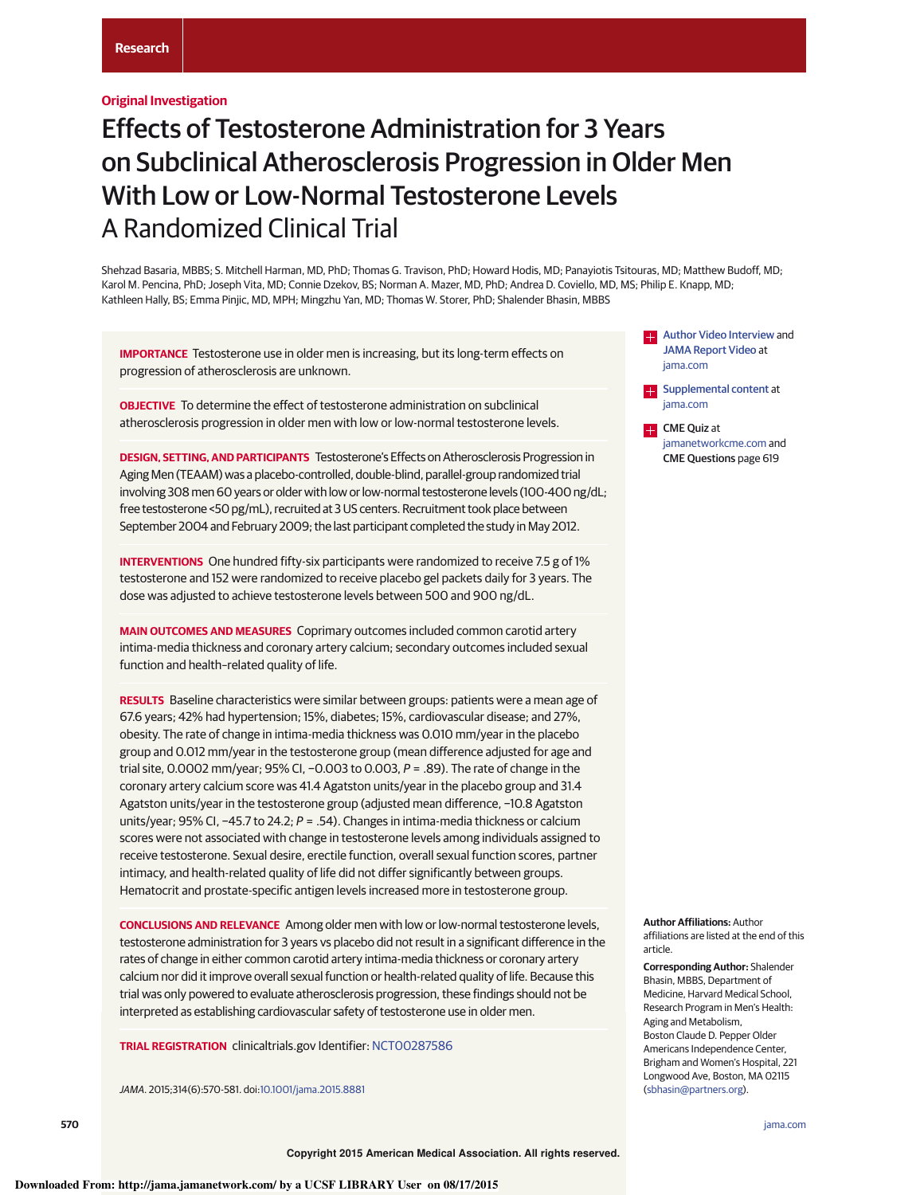# **Original Investigation**

# Effects of Testosterone Administration for 3 Years on Subclinical Atherosclerosis Progression in Older Men With Low or Low-Normal Testosterone Levels A Randomized Clinical Trial

Shehzad Basaria, MBBS; S. Mitchell Harman, MD, PhD; Thomas G. Travison, PhD; Howard Hodis, MD; Panayiotis Tsitouras, MD; Matthew Budoff, MD; Karol M. Pencina, PhD; Joseph Vita, MD; Connie Dzekov, BS; Norman A. Mazer, MD, PhD; Andrea D. Coviello, MD, MS; Philip E. Knapp, MD; Kathleen Hally, BS; Emma Pinjic, MD, MPH; Mingzhu Yan, MD; Thomas W. Storer, PhD; Shalender Bhasin, MBBS

**IMPORTANCE** Testosterone use in older men is increasing, but its long-term effects on progression of atherosclerosis are unknown.

**OBJECTIVE** To determine the effect of testosterone administration on subclinical atherosclerosis progression in older men with low or low-normal testosterone levels.

**DESIGN, SETTING, AND PARTICIPANTS** Testosterone's Effects on Atherosclerosis Progression in Aging Men (TEAAM) was a placebo-controlled, double-blind, parallel-group randomized trial involving 308 men 60 years or older with low or low-normal testosterone levels (100-400 ng/dL; free testosterone <50 pg/mL), recruited at 3 US centers. Recruitment took place between September 2004 and February 2009; the last participant completed the study in May 2012.

**INTERVENTIONS** One hundred fifty-six participants were randomized to receive 7.5 g of 1% testosterone and 152 were randomized to receive placebo gel packets daily for 3 years. The dose was adjusted to achieve testosterone levels between 500 and 900 ng/dL.

**MAIN OUTCOMES AND MEASURES** Coprimary outcomes included common carotid artery intima-media thickness and coronary artery calcium; secondary outcomes included sexual function and health–related quality of life.

**RESULTS** Baseline characteristics were similar between groups: patients were a mean age of 67.6 years; 42% had hypertension; 15%, diabetes; 15%, cardiovascular disease; and 27%, obesity. The rate of change in intima-media thickness was 0.010 mm/year in the placebo group and 0.012 mm/year in the testosterone group (mean difference adjusted for age and trial site, 0.0002 mm/year; 95% CI, −0.003 to 0.003, P = .89). The rate of change in the coronary artery calcium score was 41.4 Agatston units/year in the placebo group and 31.4 Agatston units/year in the testosterone group (adjusted mean difference, −10.8 Agatston units/year; 95% CI, −45.7 to 24.2; P = .54). Changes in intima-media thickness or calcium scores were not associated with change in testosterone levels among individuals assigned to receive testosterone. Sexual desire, erectile function, overall sexual function scores, partner intimacy, and health-related quality of life did not differ significantly between groups. Hematocrit and prostate-specific antigen levels increased more in testosterone group.

**CONCLUSIONS AND RELEVANCE** Among older men with low or low-normal testosterone levels, testosterone administration for 3 years vs placebo did not result in a significant difference in the rates of change in either common carotid artery intima-media thickness or coronary artery calcium nor did it improve overall sexual function or health-related quality of life. Because this trial was only powered to evaluate atherosclerosis progression, these findings should not be interpreted as establishing cardiovascular safety of testosterone use in older men.

**TRIAL REGISTRATION** clinicaltrials.gov Identifier: [NCT00287586](http://clinicaltrials.gov/show/NCT00287586)

JAMA. 2015;314(6):570-581. doi[:10.1001/jama.2015.8881](http://jama.jamanetwork.com/article.aspx?doi=10.1001/jama.2015.8881&utm_campaign=articlePDF%26utm_medium=articlePDFlink%26utm_source=articlePDF%26utm_content=jama.2015.8881)

- **[Author Video Interview](http://jama.jamanetwork.com/article.aspx?doi=10.1001/jama.2015.8881&utm_campaign=articlePDF%26utm_medium=articlePDFlink%26utm_source=articlePDF%26utm_content=jama.2015.8881) and** [JAMA Report Video](http://jama.jamanetwork.com/article.aspx?doi=10.1001/jama.2015.8881&utm_campaign=articlePDF%26utm_medium=articlePDFlink%26utm_source=articlePDF%26utm_content=jama.2015.8881) at [jama.com](http://www.jama.com/?utm_campaign=articlePDF%26utm_medium=articlePDFlink%26utm_source=articlePDF%26utm_content=jama.2015.8881)
- **[Supplemental content](http://jama.jamanetwork.com/article.aspx?doi=10.1001/jama.2015.8881&utm_campaign=articlePDF%26utm_medium=articlePDFlink%26utm_source=articlePDF%26utm_content=jama.2015.8881) at** [jama.com](http://www.jama.com/?utm_campaign=articlePDF%26utm_medium=articlePDFlink%26utm_source=articlePDF%26utm_content=jama.2015.8881)
- **CME** Quiz at [jamanetworkcme.com](http://www.jamanetworkcme.com/?utm_campaign=articlePDF%26utm_medium=articlePDFlink%26utm_source=articlePDF%26utm_content=jama.2015.8881) and CME Questions page 619

**Author Affiliations:** Author affiliations are listed at the end of this article.

**Corresponding Author:** Shalender Bhasin, MBBS, Department of Medicine, Harvard Medical School, Research Program in Men's Health: Aging and Metabolism, Boston Claude D. Pepper Older Americans Independence Center, Brigham and Women's Hospital, 221 Longwood Ave, Boston, MA 02115 [\(sbhasin@partners.org\)](mailto:sbhasin@partners.org).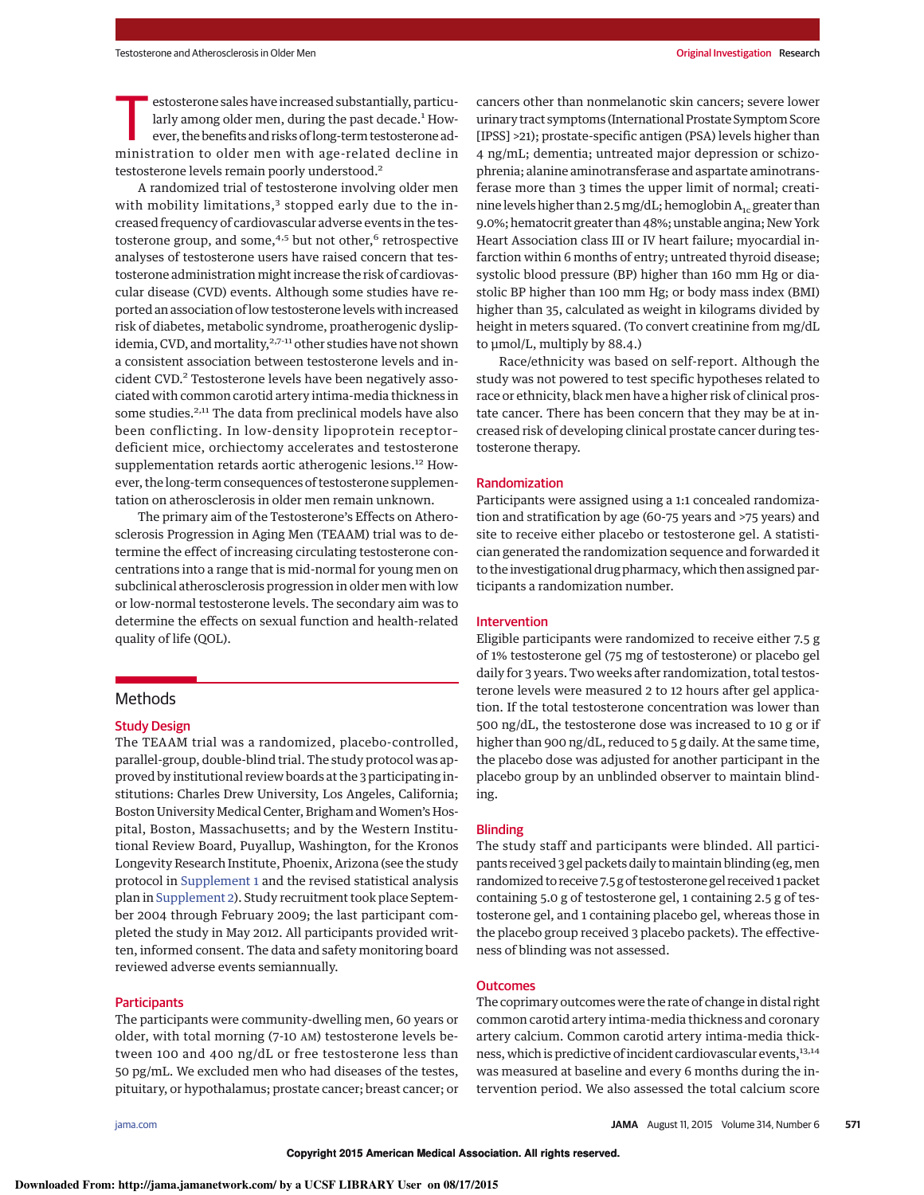estosterone sales have increased substantially, particularly among older men, during the past decade.<sup>1</sup> However, the benefits and risks of long-term testosterone administration to older men with age-related decline in estosterone sales have increased substantially, particularly among older men, during the past decade.<sup>1</sup> However, the benefits and risks of long-term testosterone adtestosterone levels remain poorly understood.<sup>2</sup>

A randomized trial of testosterone involving older men with mobility limitations,<sup>3</sup> stopped early due to the increased frequency of cardiovascular adverse events in the testosterone group, and some,<sup>4,5</sup> but not other,<sup>6</sup> retrospective analyses of testosterone users have raised concern that testosterone administration might increase the risk of cardiovascular disease (CVD) events. Although some studies have reported an association of low testosterone levels with increased risk of diabetes, metabolic syndrome, proatherogenic dyslipidemia, CVD, and mortality,<sup>2,7-11</sup> other studies have not shown a consistent association between testosterone levels and incident CVD.<sup>2</sup> Testosterone levels have been negatively associated with common carotid artery intima-media thickness in some studies.<sup>2,11</sup> The data from preclinical models have also been conflicting. In low-density lipoprotein receptor– deficient mice, orchiectomy accelerates and testosterone supplementation retards aortic atherogenic lesions.<sup>12</sup> However, the long-term consequences of testosterone supplementation on atherosclerosis in older men remain unknown.

The primary aim of the Testosterone's Effects on Atherosclerosis Progression in Aging Men (TEAAM) trial was to determine the effect of increasing circulating testosterone concentrations into a range that is mid-normal for young men on subclinical atherosclerosis progression in older men with low or low-normal testosterone levels. The secondary aim was to determine the effects on sexual function and health-related quality of life (QOL).

## Methods

### Study Design

The TEAAM trial was a randomized, placebo-controlled, parallel-group, double-blind trial. The study protocol was approved by institutional review boards at the 3 participating institutions: Charles Drew University, Los Angeles, California; Boston University Medical Center, Brigham and Women's Hospital, Boston, Massachusetts; and by the Western Institutional Review Board, Puyallup, Washington, for the Kronos Longevity Research Institute, Phoenix, Arizona (see the study protocol in [Supplement 1](http://jama.jamanetwork.com/article.aspx?doi=10.1001/jama.2015.8881&utm_campaign=articlePDF%26utm_medium=articlePDFlink%26utm_source=articlePDF%26utm_content=jama.2015.8881) and the revised statistical analysis plan in [Supplement 2\)](http://jama.jamanetwork.com/article.aspx?doi=10.1001/jama.2015.8881&utm_campaign=articlePDF%26utm_medium=articlePDFlink%26utm_source=articlePDF%26utm_content=jama.2015.8881). Study recruitment took place September 2004 through February 2009; the last participant completed the study in May 2012. All participants provided written, informed consent. The data and safety monitoring board reviewed adverse events semiannually.

## **Participants**

The participants were community-dwelling men, 60 years or older, with total morning (7-10 AM) testosterone levels between 100 and 400 ng/dL or free testosterone less than 50 pg/mL. We excluded men who had diseases of the testes, pituitary, or hypothalamus; prostate cancer; breast cancer; or

cancers other than nonmelanotic skin cancers; severe lower urinary tract symptoms (International Prostate Symptom Score [IPSS] >21); prostate-specific antigen (PSA) levels higher than 4 ng/mL; dementia; untreated major depression or schizophrenia; alanine aminotransferase and aspartate aminotransferase more than 3 times the upper limit of normal; creatinine levels higher than 2.5 mg/dL; hemoglobin  $A_{1c}$  greater than 9.0%; hematocrit greater than 48%; unstable angina; New York Heart Association class III or IV heart failure; myocardial infarction within 6 months of entry; untreated thyroid disease; systolic blood pressure (BP) higher than 160 mm Hg or diastolic BP higher than 100 mm Hg; or body mass index (BMI) higher than 35, calculated as weight in kilograms divided by height in meters squared. (To convert creatinine from mg/dL to μmol/L, multiply by 88.4.)

Race/ethnicity was based on self-report. Although the study was not powered to test specific hypotheses related to race or ethnicity, black men have a higher risk of clinical prostate cancer. There has been concern that they may be at increased risk of developing clinical prostate cancer during testosterone therapy.

## Randomization

Participants were assigned using a 1:1 concealed randomization and stratification by age (60-75 years and >75 years) and site to receive either placebo or testosterone gel. A statistician generated the randomization sequence and forwarded it to the investigational drug pharmacy, which then assigned participants a randomization number.

## Intervention

Eligible participants were randomized to receive either 7.5 g of 1% testosterone gel (75 mg of testosterone) or placebo gel daily for 3 years. Two weeks after randomization, total testosterone levels were measured 2 to 12 hours after gel application. If the total testosterone concentration was lower than 500 ng/dL, the testosterone dose was increased to 10 g or if higher than 900 ng/dL, reduced to 5 g daily. At the same time, the placebo dose was adjusted for another participant in the placebo group by an unblinded observer to maintain blinding.

### **Blinding**

The study staff and participants were blinded. All participants received 3 gel packets daily to maintain blinding (eg, men randomized to receive 7.5 g of testosterone gel received 1 packet containing 5.0 g of testosterone gel, 1 containing 2.5 g of testosterone gel, and 1 containing placebo gel, whereas those in the placebo group received 3 placebo packets). The effectiveness of blinding was not assessed.

## **Outcomes**

The coprimary outcomes were the rate of change in distal right common carotid artery intima-media thickness and coronary artery calcium. Common carotid artery intima-media thickness, which is predictive of incident cardiovascular events,<sup>13,14</sup> was measured at baseline and every 6 months during the intervention period. We also assessed the total calcium score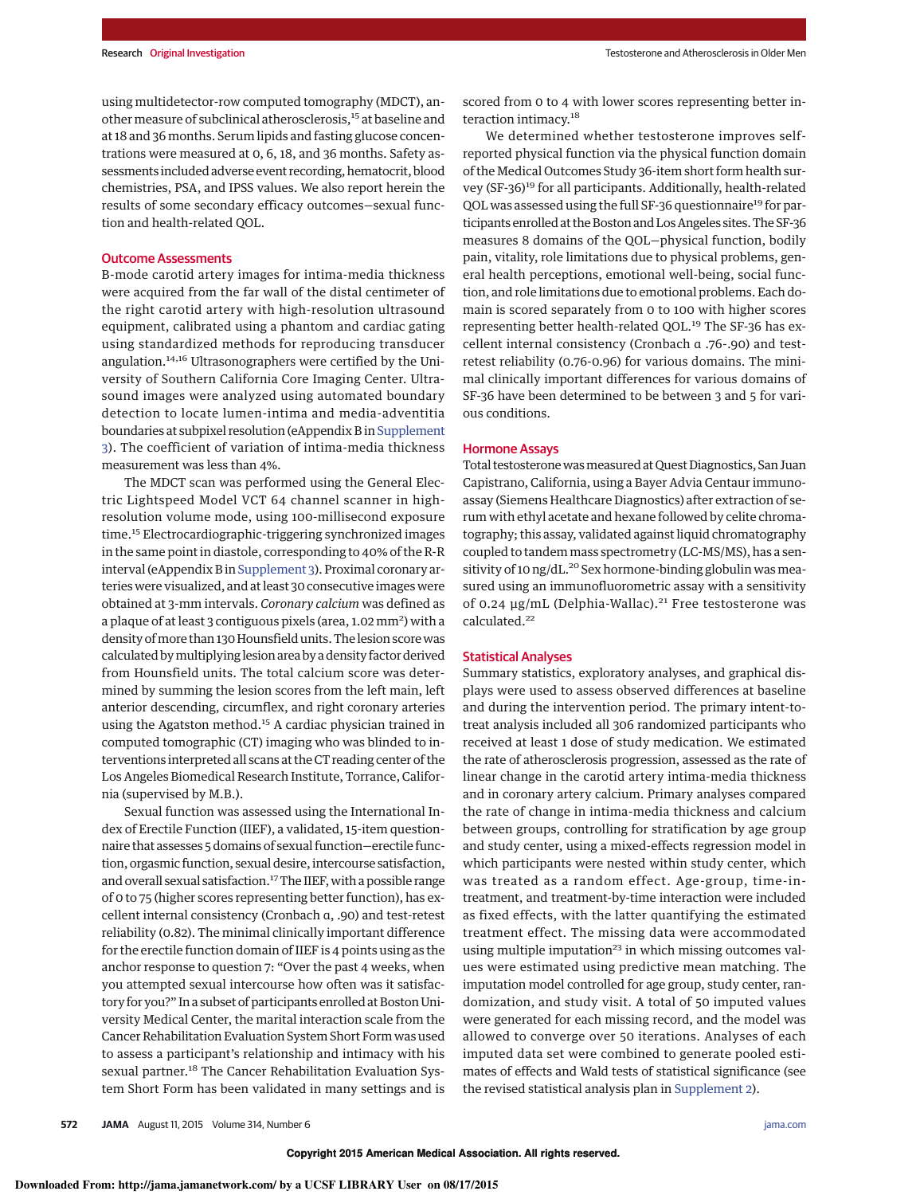using multidetector-row computed tomography (MDCT), another measure of subclinical atherosclerosis,<sup>15</sup> at baseline and at 18 and 36 months. Serum lipids and fasting glucose concentrations were measured at 0, 6, 18, and 36 months. Safety assessments included adverse event recording, hematocrit, blood chemistries, PSA, and IPSS values. We also report herein the results of some secondary efficacy outcomes—sexual function and health-related QOL.

## Outcome Assessments

B-mode carotid artery images for intima-media thickness were acquired from the far wall of the distal centimeter of the right carotid artery with high-resolution ultrasound equipment, calibrated using a phantom and cardiac gating using standardized methods for reproducing transducer angulation.<sup>14,16</sup> Ultrasonographers were certified by the University of Southern California Core Imaging Center. Ultrasound images were analyzed using automated boundary detection to locate lumen-intima and media-adventitia boundaries at subpixel resolution (eAppendix B in [Supplement](http://jama.jamanetwork.com/article.aspx?doi=10.1001/jama.2015.8881&utm_campaign=articlePDF%26utm_medium=articlePDFlink%26utm_source=articlePDF%26utm_content=jama.2015.8881) [3\)](http://jama.jamanetwork.com/article.aspx?doi=10.1001/jama.2015.8881&utm_campaign=articlePDF%26utm_medium=articlePDFlink%26utm_source=articlePDF%26utm_content=jama.2015.8881). The coefficient of variation of intima-media thickness measurement was less than 4%.

The MDCT scan was performed using the General Electric Lightspeed Model VCT 64 channel scanner in highresolution volume mode, using 100-millisecond exposure time.<sup>15</sup> Electrocardiographic-triggering synchronized images in the same point in diastole, corresponding to 40% of the R-R interval (eAppendix B in [Supplement 3\)](http://jama.jamanetwork.com/article.aspx?doi=10.1001/jama.2015.8881&utm_campaign=articlePDF%26utm_medium=articlePDFlink%26utm_source=articlePDF%26utm_content=jama.2015.8881). Proximal coronary arteries were visualized, and at least 30 consecutive images were obtained at 3-mm intervals. Coronary calcium was defined as a plaque of at least 3 contiguous pixels (area, 1.02 mm<sup>2</sup>) with a density of more than 130 Hounsfield units. The lesion score was calculated bymultiplying lesion area by a density factor derived from Hounsfield units. The total calcium score was determined by summing the lesion scores from the left main, left anterior descending, circumflex, and right coronary arteries using the Agatston method.<sup>15</sup> A cardiac physician trained in computed tomographic (CT) imaging who was blinded to interventions interpreted all scans at the CT reading center of the Los Angeles Biomedical Research Institute, Torrance, California (supervised by M.B.).

Sexual function was assessed using the International Index of Erectile Function (IIEF), a validated, 15-item questionnaire that assesses 5 domains of sexual function—erectile function, orgasmic function, sexual desire, intercourse satisfaction, and overall sexual satisfaction.<sup>17</sup> The IIEF, with a possible range of 0 to 75 (higher scores representing better function), has excellent internal consistency (Cronbach α, .90) and test-retest reliability (0.82). The minimal clinically important difference for the erectile function domain of IIEF is 4 points using as the anchor response to question 7: "Over the past 4 weeks, when you attempted sexual intercourse how often was it satisfactory for you?" In a subset of participants enrolled at Boston University Medical Center, the marital interaction scale from the Cancer Rehabilitation Evaluation System Short Form was used to assess a participant's relationship and intimacy with his sexual partner.<sup>18</sup> The Cancer Rehabilitation Evaluation System Short Form has been validated in many settings and is scored from 0 to 4 with lower scores representing better interaction intimacy.<sup>18</sup>

We determined whether testosterone improves selfreported physical function via the physical function domain of the Medical Outcomes Study 36-item short form health survey (SF-36)<sup>19</sup> for all participants. Additionally, health-related QOL was assessed using the full SF-36 questionnaire<sup>19</sup> for participants enrolled at the Boston and Los Angeles sites. The SF-36 measures 8 domains of the QOL—physical function, bodily pain, vitality, role limitations due to physical problems, general health perceptions, emotional well-being, social function, and role limitations due to emotional problems. Each domain is scored separately from 0 to 100 with higher scores representing better health-related QOL.<sup>19</sup> The SF-36 has excellent internal consistency (Cronbach α .76-.90) and testretest reliability (0.76-0.96) for various domains. The minimal clinically important differences for various domains of SF-36 have been determined to be between 3 and 5 for various conditions.

#### Hormone Assays

Total testosteronewasmeasured at Quest Diagnostics, San Juan Capistrano, California, using a Bayer Advia Centaur immunoassay (Siemens Healthcare Diagnostics) after extraction of serum with ethyl acetate and hexane followed by celite chromatography; this assay, validated against liquid chromatography coupled to tandem mass spectrometry (LC-MS/MS), has a sensitivity of 10 ng/dL.<sup>20</sup> Sex hormone-binding globulin was measured using an immunofluorometric assay with a sensitivity of 0.24  $\mu$ g/mL (Delphia-Wallac).<sup>21</sup> Free testosterone was calculated.<sup>22</sup>

#### Statistical Analyses

Summary statistics, exploratory analyses, and graphical displays were used to assess observed differences at baseline and during the intervention period. The primary intent-totreat analysis included all 306 randomized participants who received at least 1 dose of study medication. We estimated the rate of atherosclerosis progression, assessed as the rate of linear change in the carotid artery intima-media thickness and in coronary artery calcium. Primary analyses compared the rate of change in intima-media thickness and calcium between groups, controlling for stratification by age group and study center, using a mixed-effects regression model in which participants were nested within study center, which was treated as a random effect. Age-group, time-intreatment, and treatment-by-time interaction were included as fixed effects, with the latter quantifying the estimated treatment effect. The missing data were accommodated using multiple imputation $23$  in which missing outcomes values were estimated using predictive mean matching. The imputation model controlled for age group, study center, randomization, and study visit. A total of 50 imputed values were generated for each missing record, and the model was allowed to converge over 50 iterations. Analyses of each imputed data set were combined to generate pooled estimates of effects and Wald tests of statistical significance (see the revised statistical analysis plan in [Supplement 2\)](http://jama.jamanetwork.com/article.aspx?doi=10.1001/jama.2015.8881&utm_campaign=articlePDF%26utm_medium=articlePDFlink%26utm_source=articlePDF%26utm_content=jama.2015.8881).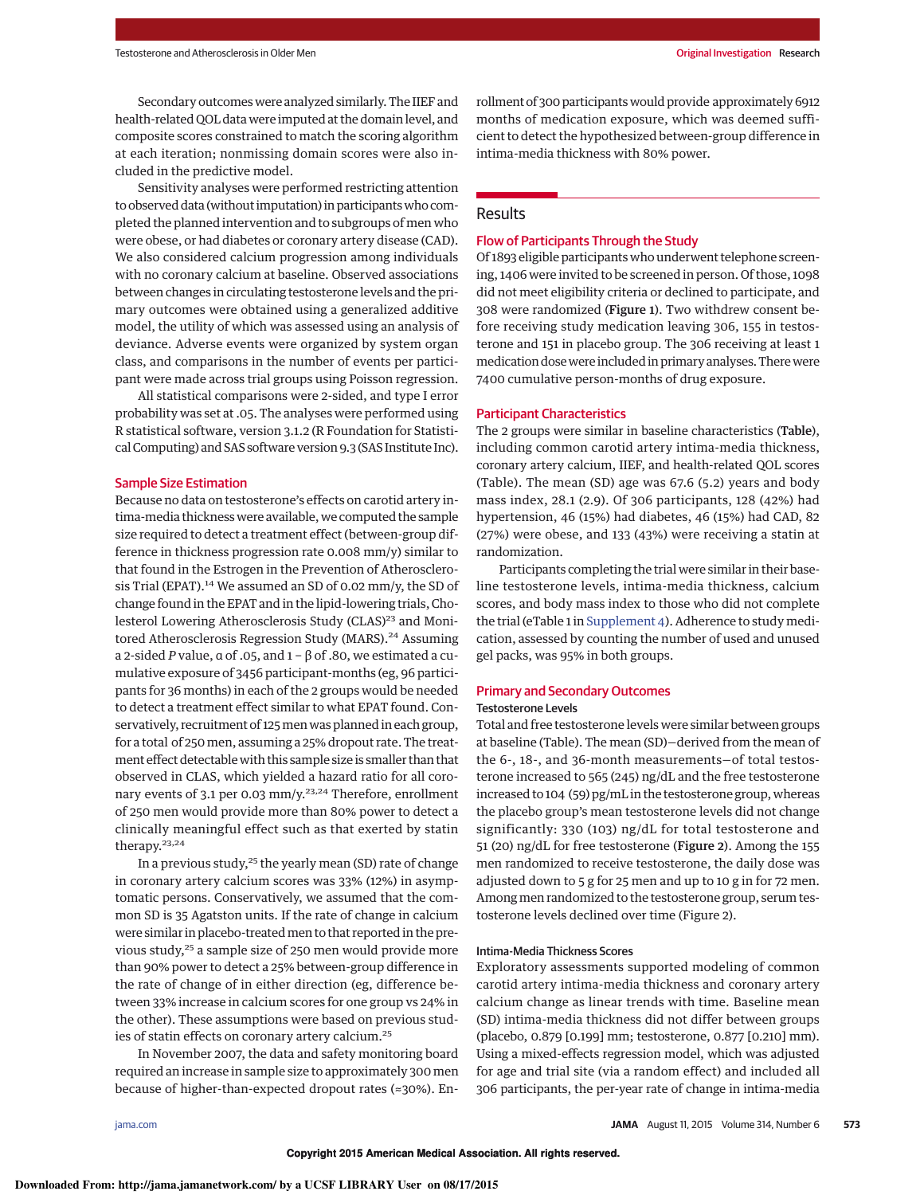Secondary outcomes were analyzed similarly. The IIEF and health-related QOL data were imputed at the domain level, and composite scores constrained to match the scoring algorithm at each iteration; nonmissing domain scores were also included in the predictive model.

Sensitivity analyses were performed restricting attention to observed data (without imputation) in participantswho completed the planned intervention and to subgroups of men who were obese, or had diabetes or coronary artery disease (CAD). We also considered calcium progression among individuals with no coronary calcium at baseline. Observed associations between changes in circulating testosterone levels and the primary outcomes were obtained using a generalized additive model, the utility of which was assessed using an analysis of deviance. Adverse events were organized by system organ class, and comparisons in the number of events per participant were made across trial groups using Poisson regression.

All statistical comparisons were 2-sided, and type I error probability was set at .05. The analyses were performed using R statistical software, version 3.1.2 (R Foundation for Statistical Computing) and SAS software version 9.3 (SAS Institute Inc).

#### Sample Size Estimation

Because no data on testosterone's effects on carotid artery intima-media thickness were available, we computed the sample size required to detect a treatment effect (between-group difference in thickness progression rate 0.008 mm/y) similar to that found in the Estrogen in the Prevention of Atherosclerosis Trial (EPAT).<sup>14</sup> We assumed an SD of 0.02 mm/y, the SD of change found in the EPAT and in the lipid-lowering trials, Cholesterol Lowering Atherosclerosis Study (CLAS)<sup>23</sup> and Monitored Atherosclerosis Regression Study (MARS).<sup>24</sup> Assuming a 2-sided P value,  $\alpha$  of .05, and  $1 - \beta$  of .80, we estimated a cumulative exposure of 3456 participant-months (eg, 96 participants for 36 months) in each of the 2 groups would be needed to detect a treatment effect similar to what EPAT found. Conservatively, recruitment of 125 men was planned in each group, for a total of 250 men, assuming a 25% dropout rate. The treatment effect detectable with this sample size is smaller than that observed in CLAS, which yielded a hazard ratio for all coronary events of 3.1 per 0.03 mm/y.<sup>23,24</sup> Therefore, enrollment of 250 men would provide more than 80% power to detect a clinically meaningful effect such as that exerted by statin therapy.<sup>23,24</sup>

In a previous study, $25$  the yearly mean (SD) rate of change in coronary artery calcium scores was 33% (12%) in asymptomatic persons. Conservatively, we assumed that the common SD is 35 Agatston units. If the rate of change in calcium were similar in placebo-treatedmen to that reported in the previous study,<sup>25</sup> a sample size of 250 men would provide more than 90% power to detect a 25% between-group difference in the rate of change of in either direction (eg, difference between 33% increase in calcium scores for one group vs 24% in the other). These assumptions were based on previous studies of statin effects on coronary artery calcium.<sup>25</sup>

In November 2007, the data and safety monitoring board required an increase in sample size to approximately 300 men because of higher-than-expected dropout rates (≈30%). Enrollment of 300 participantswould provide approximately 6912 months of medication exposure, which was deemed sufficient to detect the hypothesized between-group difference in intima-media thickness with 80% power.

# **Results**

#### Flow of Participants Through the Study

Of 1893 eligible participants who underwent telephone screening, 1406 were invited to be screened in person. Of those, 1098 did not meet eligibility criteria or declined to participate, and 308 were randomized (Figure 1). Two withdrew consent before receiving study medication leaving 306, 155 in testosterone and 151 in placebo group. The 306 receiving at least 1 medication dosewere included in primary analyses. Therewere 7400 cumulative person-months of drug exposure.

## Participant Characteristics

The 2 groups were similar in baseline characteristics (Table), including common carotid artery intima-media thickness, coronary artery calcium, IIEF, and health-related QOL scores (Table). The mean (SD) age was 67.6 (5.2) years and body mass index, 28.1 (2.9). Of 306 participants, 128 (42%) had hypertension, 46 (15%) had diabetes, 46 (15%) had CAD, 82 (27%) were obese, and 133 (43%) were receiving a statin at randomization.

Participants completing the trial were similar in their baseline testosterone levels, intima-media thickness, calcium scores, and body mass index to those who did not complete the trial (eTable 1 in [Supplement 4\)](http://jama.jamanetwork.com/article.aspx?doi=10.1001/jama.2015.8881&utm_campaign=articlePDF%26utm_medium=articlePDFlink%26utm_source=articlePDF%26utm_content=jama.2015.8881). Adherence to study medication, assessed by counting the number of used and unused gel packs, was 95% in both groups.

#### Primary and Secondary Outcomes

## Testosterone Levels

Total and free testosterone levels were similar between groups at baseline (Table). The mean (SD)—derived from the mean of the 6-, 18-, and 36-month measurements—of total testosterone increased to 565 (245) ng/dL and the free testosterone increased to 104 (59) pg/mL in the testosterone group, whereas the placebo group's mean testosterone levels did not change significantly: 330 (103) ng/dL for total testosterone and 51 (20) ng/dL for free testosterone (Figure 2). Among the 155 men randomized to receive testosterone, the daily dose was adjusted down to 5 g for 25 men and up to 10 g in for 72 men. Among men randomized to the testosterone group, serum testosterone levels declined over time (Figure 2).

#### Intima-Media Thickness Scores

Exploratory assessments supported modeling of common carotid artery intima-media thickness and coronary artery calcium change as linear trends with time. Baseline mean (SD) intima-media thickness did not differ between groups (placebo, 0.879 [0.199] mm; testosterone, 0.877 [0.210] mm). Using a mixed-effects regression model, which was adjusted for age and trial site (via a random effect) and included all 306 participants, the per-year rate of change in intima-media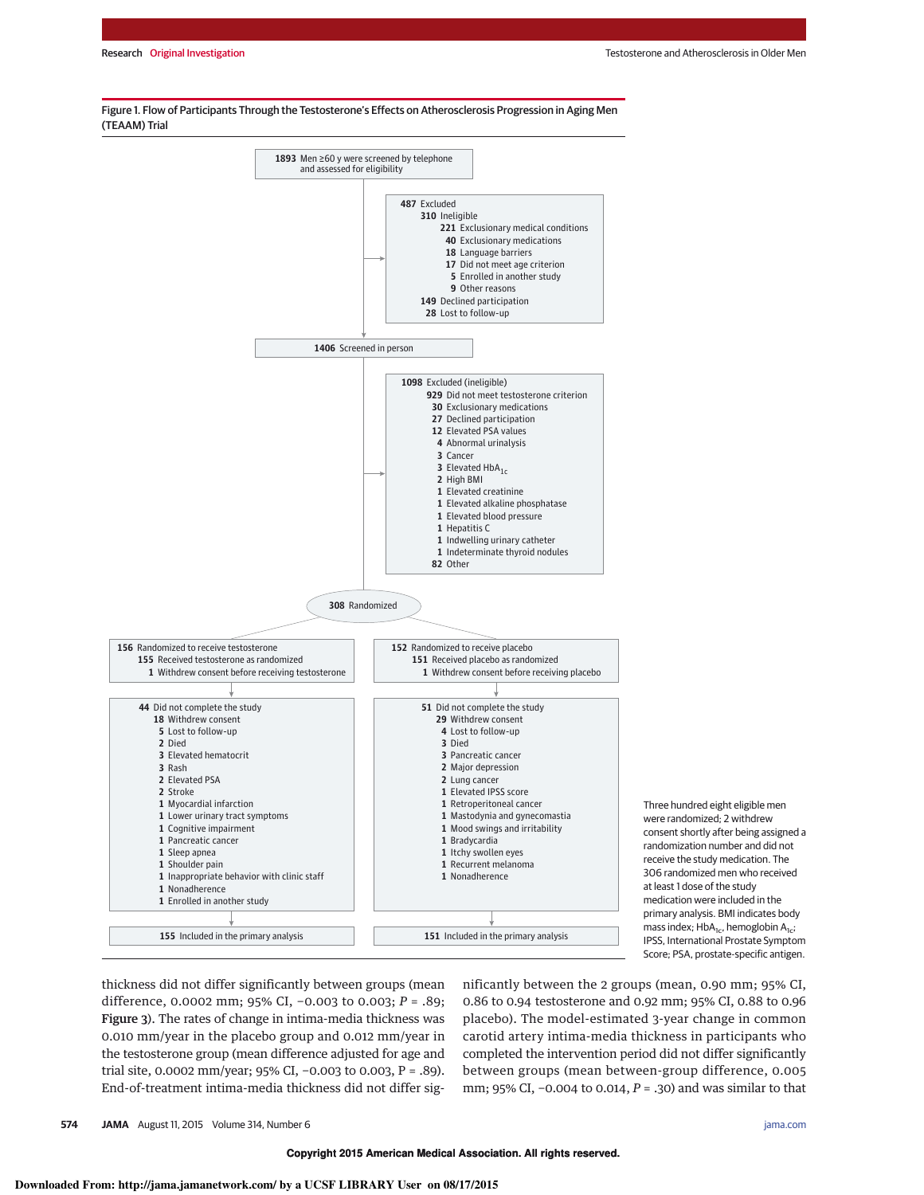

Figure 1. Flow of Participants Through the Testosterone's Effects on Atherosclerosis Progression in Aging Men

thickness did not differ significantly between groups (mean difference, 0.0002 mm; 95% CI, -0.003 to 0.003;  $P = .89$ ; Figure 3). The rates of change in intima-media thickness was 0.010 mm/year in the placebo group and 0.012 mm/year in the testosterone group (mean difference adjusted for age and trial site, 0.0002 mm/year; 95% CI, −0.003 to 0.003, P = .89). End-of-treatment intima-media thickness did not differ significantly between the 2 groups (mean, 0.90 mm; 95% CI, 0.86 to 0.94 testosterone and 0.92 mm; 95% CI, 0.88 to 0.96 placebo). The model-estimated 3-year change in common carotid artery intima-media thickness in participants who completed the intervention period did not differ significantly between groups (mean between-group difference, 0.005 mm; 95% CI, −0.004 to 0.014, P = .30) and was similar to that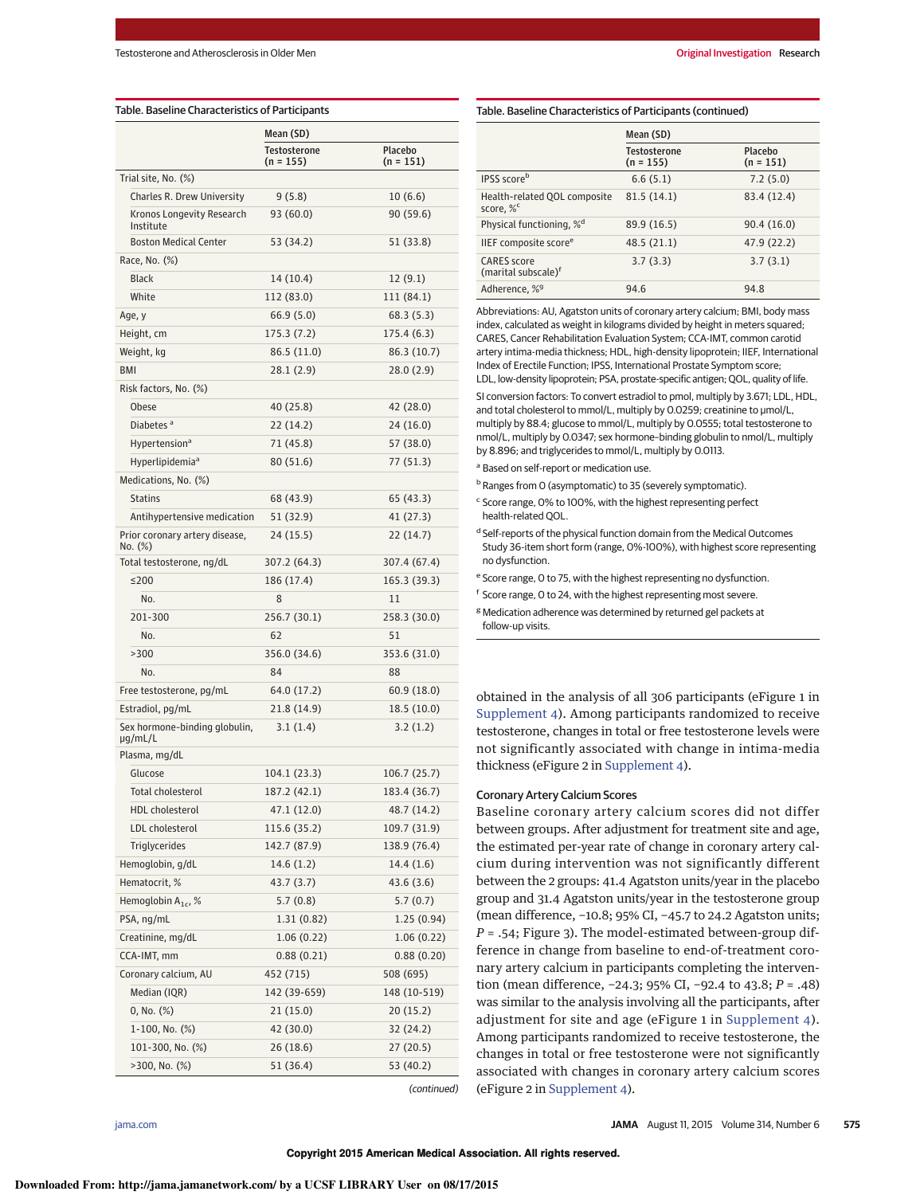#### Table. Baseline Characteristics of Participants

|                                               | Mean (SD)    |              |
|-----------------------------------------------|--------------|--------------|
|                                               | Testosterone | Placebo      |
| Trial site, No. (%)                           | $(n = 155)$  | $(n = 151)$  |
| <b>Charles R. Drew University</b>             | 9(5.8)       | 10(6.6)      |
| Kronos Longevity Research                     | 93 (60.0)    | 90 (59.6)    |
| Institute                                     |              |              |
| <b>Boston Medical Center</b>                  | 53 (34.2)    | 51 (33.8)    |
| Race, No. (%)                                 |              |              |
| <b>Black</b>                                  | 14 (10.4)    | 12 (9.1)     |
| White                                         | 112 (83.0)   | 111 (84.1)   |
| Age, y                                        | 66.9(5.0)    | 68.3 (5.3)   |
| Height, cm                                    | 175.3 (7.2)  | 175.4 (6.3)  |
| Weight, kg                                    | 86.5 (11.0)  | 86.3 (10.7)  |
| BMI                                           | 28.1(2.9)    | 28.0(2.9)    |
| Risk factors, No. (%)                         |              |              |
| Obese                                         | 40 (25.8)    | 42 (28.0)    |
| Diabetes <sup>a</sup>                         | 22 (14.2)    | 24 (16.0)    |
| Hypertension <sup>a</sup>                     | 71 (45.8)    | 57 (38.0)    |
| Hyperlipidemia <sup>a</sup>                   | 80 (51.6)    | 77 (51.3)    |
| Medications, No. (%)                          |              |              |
| <b>Statins</b>                                | 68 (43.9)    | 65 (43.3)    |
| Antihypertensive medication                   | 51 (32.9)    | 41 (27.3)    |
| Prior coronary artery disease,<br>No. (%)     | 24 (15.5)    | 22(14.7)     |
| Total testosterone, ng/dL                     | 307.2 (64.3) | 307.4 (67.4) |
| ≤200                                          | 186 (17.4)   | 165.3 (39.3) |
| No.                                           | 8            | 11           |
| 201-300                                       | 256.7 (30.1) | 258.3 (30.0) |
| No.                                           | 62           | 51           |
| >300                                          | 356.0 (34.6) | 353.6 (31.0) |
| No.                                           | 84           | 88           |
| Free testosterone, pg/mL                      | 64.0 (17.2)  | 60.9(18.0)   |
| Estradiol, pg/mL                              | 21.8 (14.9)  | 18.5 (10.0)  |
| Sex hormone-binding globulin,<br>$\mu$ g/mL/L | 3.1(1.4)     | 3.2(1.2)     |
| Plasma, mg/dL                                 |              |              |
| Glucose                                       | 104.1 (23.3) | 106.7 (25.7) |
| <b>Total cholesterol</b>                      | 187.2 (42.1) | 183.4 (36.7) |
| <b>HDL</b> cholesterol                        | 47.1 (12.0)  | 48.7 (14.2)  |
| LDL cholesterol                               | 115.6 (35.2) | 109.7 (31.9) |
| Triglycerides                                 | 142.7 (87.9) | 138.9 (76.4) |
| Hemoglobin, g/dL                              | 14.6 (1.2)   | 14.4 (1.6)   |
| Hematocrit, %                                 | 43.7(3.7)    | 43.6(3.6)    |
| Hemoglobin $A_{1c}$ , %                       | 5.7(0.8)     | 5.7(0.7)     |
| PSA, ng/mL                                    | 1.31(0.82)   | 1.25(0.94)   |
| Creatinine, mg/dL                             | 1.06(0.22)   | 1.06(0.22)   |
| CCA-IMT, mm                                   | 0.88(0.21)   | 0.88(0.20)   |
| Coronary calcium, AU                          | 452 (715)    | 508 (695)    |
| Median (IQR)                                  | 142 (39-659) | 148 (10-519) |
| $0, No.$ $(\%)$                               | 21 (15.0)    | 20 (15.2)    |
| 1-100, No. (%)                                | 42 (30.0)    | 32 (24.2)    |
| 101-300, No. (%)                              | 26 (18.6)    | 27 (20.5)    |
| $>300$ , No. $(\%)$                           | 51 (36.4)    | 53 (40.2)    |
|                                               |              |              |

(continued)

#### Table. Baseline Characteristics of Participants (continued)

|                                                       | Mean (SD)                          |                        |
|-------------------------------------------------------|------------------------------------|------------------------|
|                                                       | <b>Testosterone</b><br>$(n = 155)$ | Placebo<br>$(n = 151)$ |
| <b>IPSS</b> scoreb                                    | 6.6(5.1)                           | 7.2(5.0)               |
| Health-related QOL composite<br>score, % <sup>c</sup> | 81.5(14.1)                         | 83.4 (12.4)            |
| Physical functioning, % <sup>d</sup>                  | 89.9 (16.5)                        | 90.4(16.0)             |
| IIEF composite score <sup>e</sup>                     | 48.5(21.1)                         | 47.9 (22.2)            |
| <b>CARES</b> score<br>(marital subscale) <sup>f</sup> | 3.7(3.3)                           | 3.7(3.1)               |
| Adherence, % <sup>9</sup>                             | 94.6                               | 94.8                   |

Abbreviations: AU, Agatston units of coronary artery calcium; BMI, body mass index, calculated as weight in kilograms divided by height in meters squared; CARES, Cancer Rehabilitation Evaluation System; CCA-IMT, common carotid artery intima-media thickness; HDL, high-density lipoprotein; IIEF, International Index of Erectile Function; IPSS, International Prostate Symptom score; LDL, low-density lipoprotein; PSA, prostate-specific antigen; QOL, quality of life.

SI conversion factors: To convert estradiol to pmol, multiply by 3.671; LDL, HDL, and total cholesterol to mmol/L, multiply by 0.0259; creatinine to μmol/L, multiply by 88.4; glucose to mmol/L, multiply by 0.0555; total testosterone to nmol/L, multiply by 0.0347; sex hormone–binding globulin to nmol/L, multiply by 8.896; and triglycerides to mmol/L, multiply by 0.0113.

a Based on self-report or medication use.

b Ranges from O (asymptomatic) to 35 (severely symptomatic).

- <sup>c</sup> Score range, 0% to 100%, with the highest representing perfect health-related QOL.
- <sup>d</sup> Self-reports of the physical function domain from the Medical Outcomes Study 36-item short form (range, 0%-100%), with highest score representing no dysfunction.
- <sup>e</sup> Score range, O to 75, with the highest representing no dysfunction.
- f Score range, O to 24, with the highest representing most severe.
- <sup>g</sup> Medication adherence was determined by returned gel packets at follow-up visits.

obtained in the analysis of all 306 participants (eFigure 1 in [Supplement 4\)](http://jama.jamanetwork.com/article.aspx?doi=10.1001/jama.2015.8881&utm_campaign=articlePDF%26utm_medium=articlePDFlink%26utm_source=articlePDF%26utm_content=jama.2015.8881). Among participants randomized to receive testosterone, changes in total or free testosterone levels were not significantly associated with change in intima-media thickness (eFigure 2 in [Supplement 4\)](http://jama.jamanetwork.com/article.aspx?doi=10.1001/jama.2015.8881&utm_campaign=articlePDF%26utm_medium=articlePDFlink%26utm_source=articlePDF%26utm_content=jama.2015.8881).

#### Coronary Artery Calcium Scores

Baseline coronary artery calcium scores did not differ between groups. After adjustment for treatment site and age, the estimated per-year rate of change in coronary artery calcium during intervention was not significantly different between the 2 groups: 41.4 Agatston units/year in the placebo group and 31.4 Agatston units/year in the testosterone group (mean difference, −10.8; 95% CI, −45.7 to 24.2 Agatston units;  $P = .54$ ; Figure 3). The model-estimated between-group difference in change from baseline to end-of-treatment coronary artery calcium in participants completing the intervention (mean difference,  $-24.3$ ; 95% CI,  $-92.4$  to 43.8; P = .48) was similar to the analysis involving all the participants, after adjustment for site and age (eFigure 1 in [Supplement 4\)](http://jama.jamanetwork.com/article.aspx?doi=10.1001/jama.2015.8881&utm_campaign=articlePDF%26utm_medium=articlePDFlink%26utm_source=articlePDF%26utm_content=jama.2015.8881). Among participants randomized to receive testosterone, the changes in total or free testosterone were not significantly associated with changes in coronary artery calcium scores (eFigure 2 in [Supplement 4\)](http://jama.jamanetwork.com/article.aspx?doi=10.1001/jama.2015.8881&utm_campaign=articlePDF%26utm_medium=articlePDFlink%26utm_source=articlePDF%26utm_content=jama.2015.8881).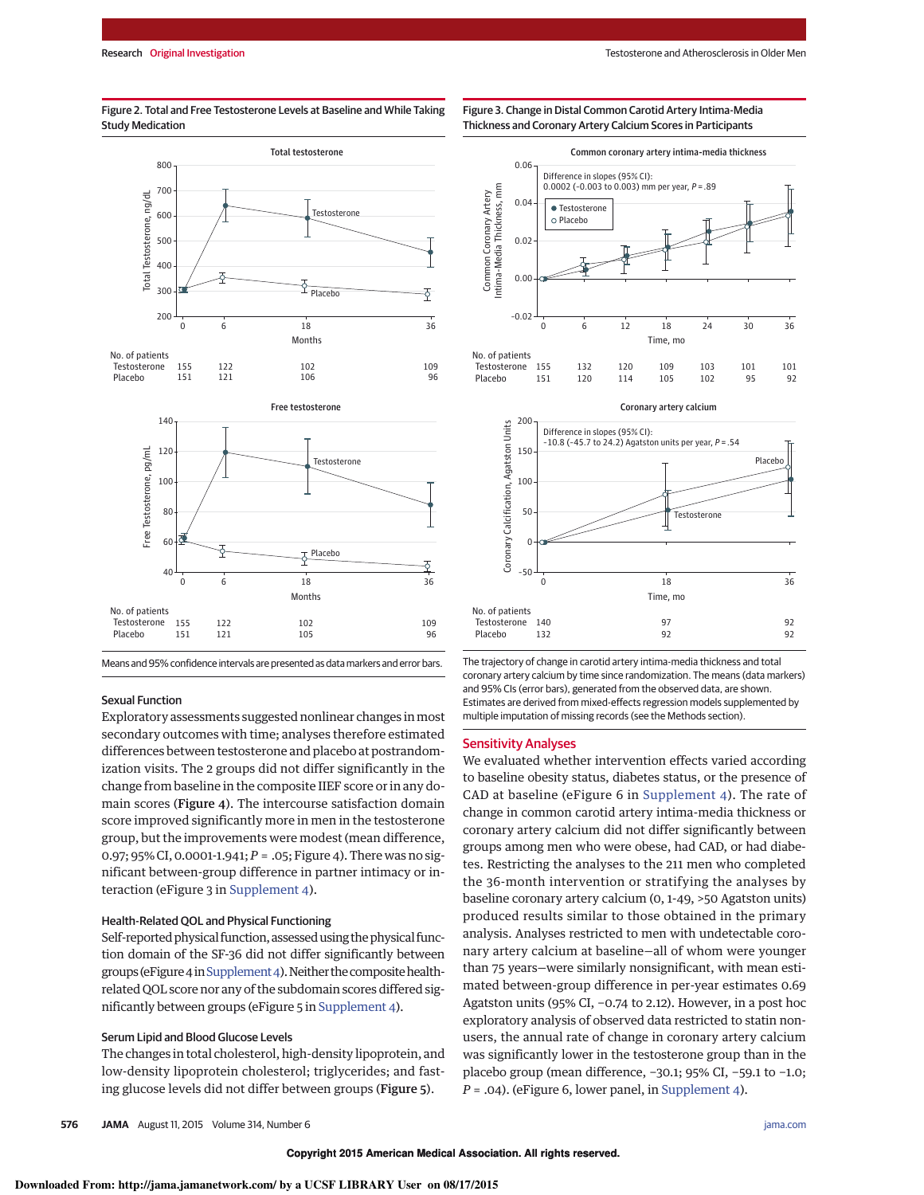#### Figure 2. Total and Free Testosterone Levels at Baseline and While Taking Study Medication





Means and 95% confidence intervals are presented as data markers and error bars.

#### Sexual Function

Exploratory assessments suggested nonlinear changes in most secondary outcomes with time; analyses therefore estimated differences between testosterone and placebo at postrandomization visits. The 2 groups did not differ significantly in the change from baseline in the composite IIEF score or in any domain scores (Figure 4). The intercourse satisfaction domain score improved significantly more in men in the testosterone group, but the improvements were modest (mean difference, 0.97; 95% CI, 0.0001-1.941;  $P = 0.05$ ; Figure 4). There was no significant between-group difference in partner intimacy or in-teraction (eFigure 3 in [Supplement 4\)](http://jama.jamanetwork.com/article.aspx?doi=10.1001/jama.2015.8881&utm_campaign=articlePDF%26utm_medium=articlePDFlink%26utm_source=articlePDF%26utm_content=jama.2015.8881).

## Health-Related QOL and Physical Functioning

Self-reported physical function, assessed using the physical function domain of the SF-36 did not differ significantly between groups (eFigure 4 in Supplement 4). Neither the composite healthrelated QOL score nor any of the subdomain scores differed significantly between groups (eFigure 5 in [Supplement 4\)](http://jama.jamanetwork.com/article.aspx?doi=10.1001/jama.2015.8881&utm_campaign=articlePDF%26utm_medium=articlePDFlink%26utm_source=articlePDF%26utm_content=jama.2015.8881).

## Serum Lipid and Blood Glucose Levels

The changes in total cholesterol, high-density lipoprotein, and low-density lipoprotein cholesterol; triglycerides; and fasting glucose levels did not differ between groups (Figure 5).

#### Figure 3. Change in Distal Common Carotid Artery Intima-Media Thickness and Coronary Artery Calcium Scores in Participants



Coronary artery calcium



The trajectory of change in carotid artery intima-media thickness and total coronary artery calcium by time since randomization. The means (data markers) and 95% CIs (error bars), generated from the observed data, are shown. Estimates are derived from mixed-effects regression models supplemented by multiple imputation of missing records (see the Methods section).

## Sensitivity Analyses

We evaluated whether intervention effects varied according to baseline obesity status, diabetes status, or the presence of CAD at baseline (eFigure 6 in [Supplement 4\)](http://jama.jamanetwork.com/article.aspx?doi=10.1001/jama.2015.8881&utm_campaign=articlePDF%26utm_medium=articlePDFlink%26utm_source=articlePDF%26utm_content=jama.2015.8881). The rate of change in common carotid artery intima-media thickness or coronary artery calcium did not differ significantly between groups among men who were obese, had CAD, or had diabetes. Restricting the analyses to the 211 men who completed the 36-month intervention or stratifying the analyses by baseline coronary artery calcium (0, 1-49, >50 Agatston units) produced results similar to those obtained in the primary analysis. Analyses restricted to men with undetectable coronary artery calcium at baseline—all of whom were younger than 75 years—were similarly nonsignificant, with mean estimated between-group difference in per-year estimates 0.69 Agatston units (95% CI, −0.74 to 2.12). However, in a post hoc exploratory analysis of observed data restricted to statin nonusers, the annual rate of change in coronary artery calcium was significantly lower in the testosterone group than in the placebo group (mean difference, −30.1; 95% CI, −59.1 to −1.0;  $P = .04$ ). (eFigure 6, lower panel, in [Supplement 4\)](http://jama.jamanetwork.com/article.aspx?doi=10.1001/jama.2015.8881&utm_campaign=articlePDF%26utm_medium=articlePDFlink%26utm_source=articlePDF%26utm_content=jama.2015.8881).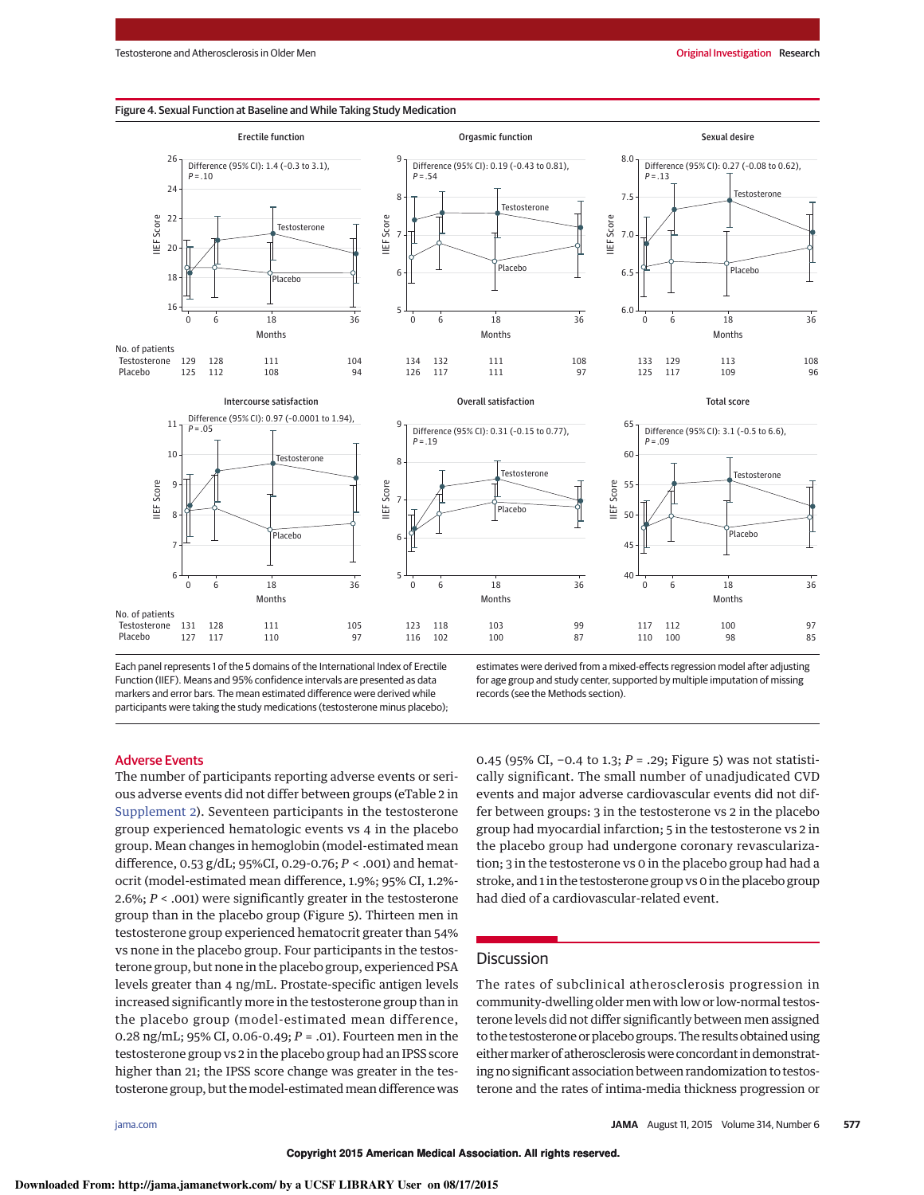



Each panel represents 1 of the 5 domains of the International Index of Erectile Function (IIEF). Means and 95% confidence intervals are presented as data markers and error bars. The mean estimated difference were derived while participants were taking the study medications (testosterone minus placebo); estimates were derived from a mixed-effects regression model after adjusting for age group and study center, supported by multiple imputation of missing records (see the Methods section).

#### Adverse Events

The number of participants reporting adverse events or serious adverse events did not differ between groups (eTable 2 in [Supplement 2\)](http://jama.jamanetwork.com/article.aspx?doi=10.1001/jama.2015.8881&utm_campaign=articlePDF%26utm_medium=articlePDFlink%26utm_source=articlePDF%26utm_content=jama.2015.8881). Seventeen participants in the testosterone group experienced hematologic events vs 4 in the placebo group. Mean changes in hemoglobin (model-estimated mean difference, 0.53 g/dL; 95%CI, 0.29-0.76;  $P <$  .001) and hematocrit (model-estimated mean difference, 1.9%; 95% CI, 1.2%- 2.6%;  $P <$  .001) were significantly greater in the testosterone group than in the placebo group (Figure 5). Thirteen men in testosterone group experienced hematocrit greater than 54% vs none in the placebo group. Four participants in the testosterone group, but none in the placebo group, experienced PSA levels greater than 4 ng/mL. Prostate-specific antigen levels increased significantly more in the testosterone group than in the placebo group (model-estimated mean difference, 0.28 ng/mL; 95% CI, 0.06-0.49;  $P = .01$ ). Fourteen men in the testosterone group vs 2 in the placebo group had an IPSS score higher than 21; the IPSS score change was greater in the testosterone group, but the model-estimated mean difference was 0.45 (95% CI,  $-0.4$  to 1.3; P = .29; Figure 5) was not statistically significant. The small number of unadjudicated CVD events and major adverse cardiovascular events did not differ between groups: 3 in the testosterone vs 2 in the placebo group had myocardial infarction; 5 in the testosterone vs 2 in the placebo group had undergone coronary revascularization; 3 in the testosterone vs 0 in the placebo group had had a stroke, and 1 in the testosterone group vs 0 in the placebo group had died of a cardiovascular-related event.

## **Discussion**

The rates of subclinical atherosclerosis progression in community-dwelling older men with low or low-normal testosterone levels did not differ significantly between men assigned to the testosterone or placebo groups.The results obtained using either marker of atherosclerosis were concordant in demonstrating no significant association between randomization to testosterone and the rates of intima-media thickness progression or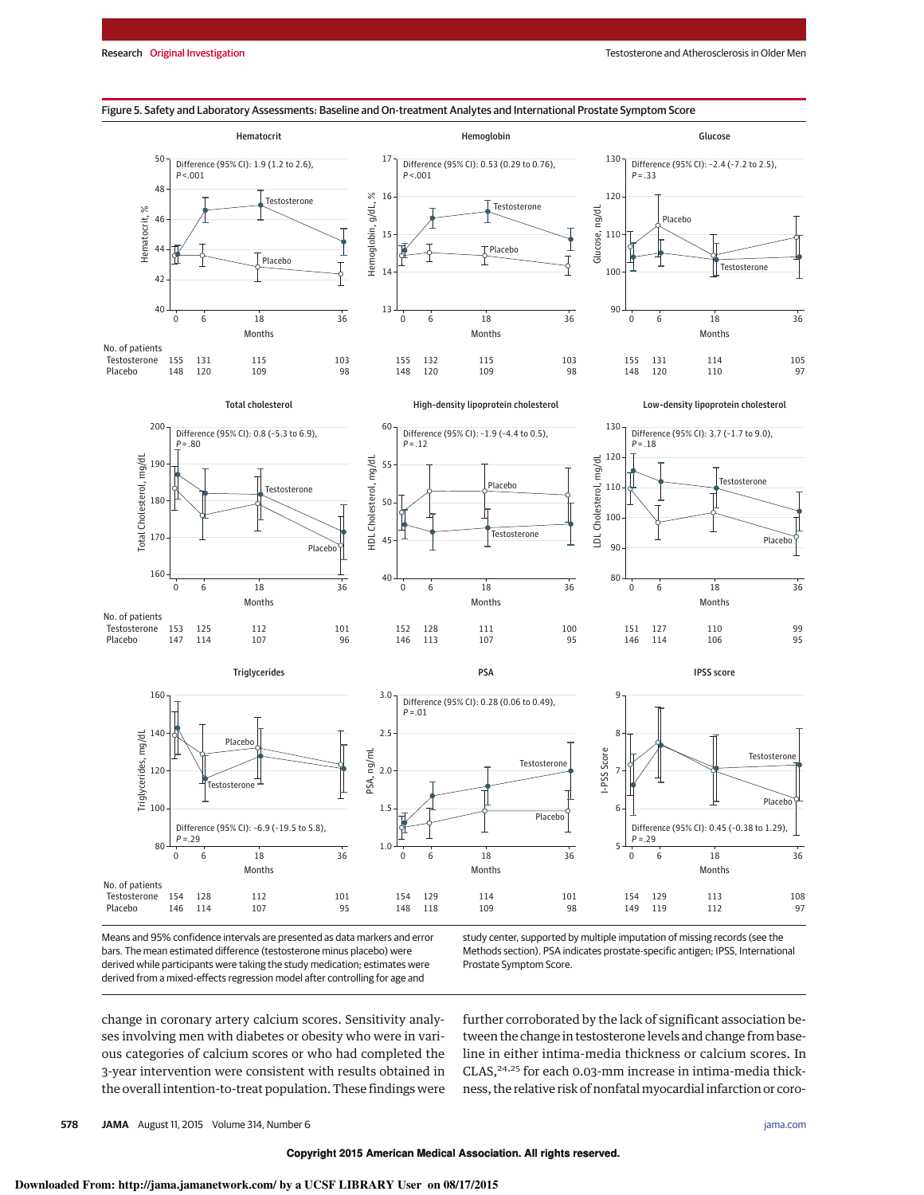

Means and 95% confidence intervals are presented as data markers and error bars. The mean estimated difference (testosterone minus placebo) were derived while participants were taking the study medication; estimates were derived from a mixed-effects regression model after controlling for age and

study center, supported by multiple imputation of missing records (see the Methods section). PSA indicates prostate-specific antigen; IPSS, International Prostate Symptom Score.

change in coronary artery calcium scores. Sensitivity analyses involving men with diabetes or obesity who were in various categories of calcium scores or who had completed the 3-year intervention were consistent with results obtained in the overall intention-to-treat population. These findings were further corroborated by the lack of significant association between the change in testosterone levels and change from baseline in either intima-media thickness or calcium scores. In CLAS,<sup>24,25</sup> for each 0.03-mm increase in intima-media thickness, the relative risk of nonfatal myocardial infarction or coro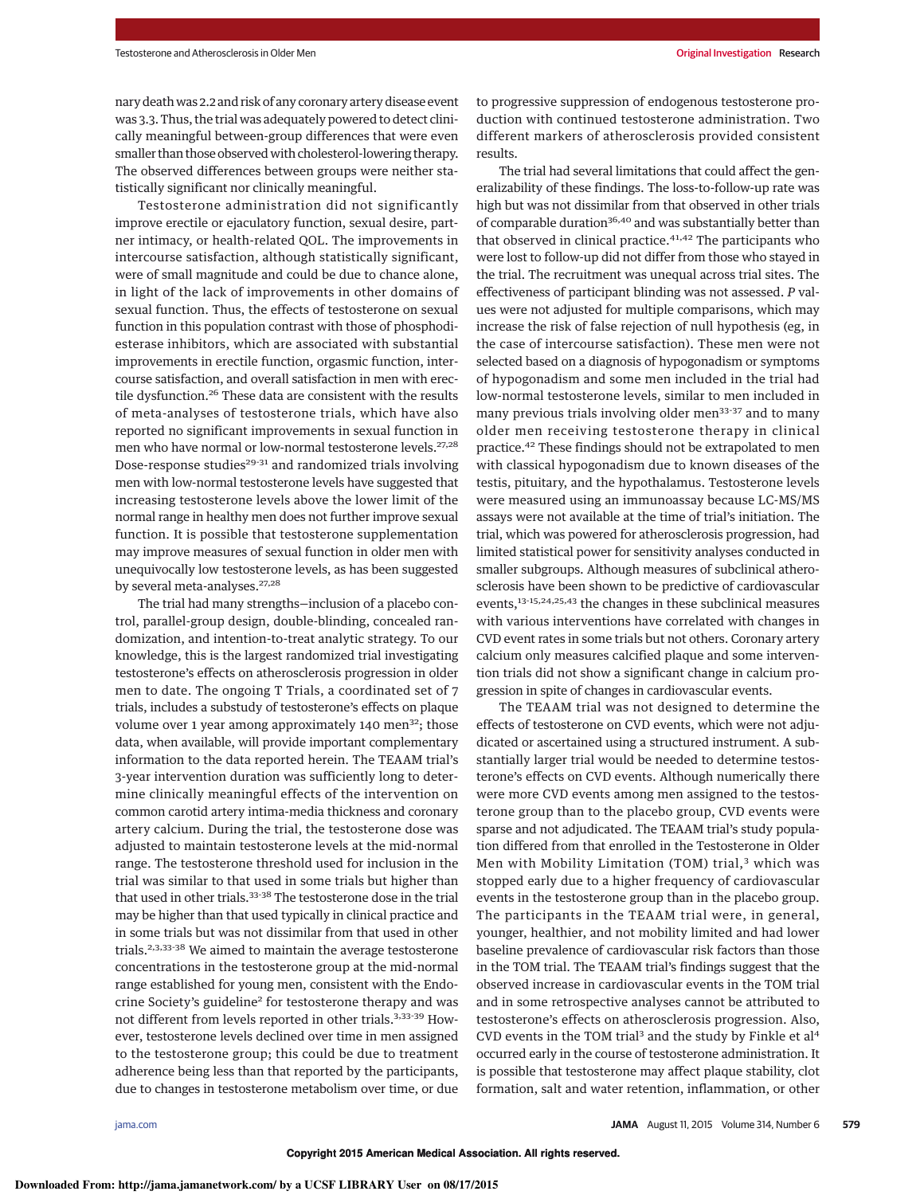nary death was 2.2 and risk of any coronary artery disease event was 3.3. Thus, the trial was adequately powered to detect clinically meaningful between-group differences that were even smaller than those observed with cholesterol-lowering therapy. The observed differences between groups were neither statistically significant nor clinically meaningful.

Testosterone administration did not significantly improve erectile or ejaculatory function, sexual desire, partner intimacy, or health-related QOL. The improvements in intercourse satisfaction, although statistically significant, were of small magnitude and could be due to chance alone, in light of the lack of improvements in other domains of sexual function. Thus, the effects of testosterone on sexual function in this population contrast with those of phosphodiesterase inhibitors, which are associated with substantial improvements in erectile function, orgasmic function, intercourse satisfaction, and overall satisfaction in men with erectile dysfunction.<sup>26</sup> These data are consistent with the results of meta-analyses of testosterone trials, which have also reported no significant improvements in sexual function in men who have normal or low-normal testosterone levels.<sup>27,28</sup> Dose-response studies<sup>29-31</sup> and randomized trials involving men with low-normal testosterone levels have suggested that increasing testosterone levels above the lower limit of the normal range in healthy men does not further improve sexual function. It is possible that testosterone supplementation may improve measures of sexual function in older men with unequivocally low testosterone levels, as has been suggested by several meta-analyses.<sup>27,28</sup>

The trial had many strengths—inclusion of a placebo control, parallel-group design, double-blinding, concealed randomization, and intention-to-treat analytic strategy. To our knowledge, this is the largest randomized trial investigating testosterone's effects on atherosclerosis progression in older men to date. The ongoing T Trials, a coordinated set of 7 trials, includes a substudy of testosterone's effects on plaque volume over 1 year among approximately 140 men<sup>32</sup>; those data, when available, will provide important complementary information to the data reported herein. The TEAAM trial's 3-year intervention duration was sufficiently long to determine clinically meaningful effects of the intervention on common carotid artery intima-media thickness and coronary artery calcium. During the trial, the testosterone dose was adjusted to maintain testosterone levels at the mid-normal range. The testosterone threshold used for inclusion in the trial was similar to that used in some trials but higher than that used in other trials.33-38 The testosterone dose in the trial may be higher than that used typically in clinical practice and in some trials but was not dissimilar from that used in other trials.2,3,33-38 We aimed to maintain the average testosterone concentrations in the testosterone group at the mid-normal range established for young men, consistent with the Endocrine Society's guideline<sup>2</sup> for testosterone therapy and was not different from levels reported in other trials.<sup>3,33-39</sup> However, testosterone levels declined over time in men assigned to the testosterone group; this could be due to treatment adherence being less than that reported by the participants, due to changes in testosterone metabolism over time, or due

to progressive suppression of endogenous testosterone production with continued testosterone administration. Two different markers of atherosclerosis provided consistent results.

The trial had several limitations that could affect the generalizability of these findings. The loss-to-follow-up rate was high but was not dissimilar from that observed in other trials of comparable duration<sup>36,40</sup> and was substantially better than that observed in clinical practice.<sup>41,42</sup> The participants who were lost to follow-up did not differ from those who stayed in the trial. The recruitment was unequal across trial sites. The effectiveness of participant blinding was not assessed. P values were not adjusted for multiple comparisons, which may increase the risk of false rejection of null hypothesis (eg, in the case of intercourse satisfaction). These men were not selected based on a diagnosis of hypogonadism or symptoms of hypogonadism and some men included in the trial had low-normal testosterone levels, similar to men included in many previous trials involving older men<sup>33-37</sup> and to many older men receiving testosterone therapy in clinical practice.<sup>42</sup> These findings should not be extrapolated to men with classical hypogonadism due to known diseases of the testis, pituitary, and the hypothalamus. Testosterone levels were measured using an immunoassay because LC-MS/MS assays were not available at the time of trial's initiation. The trial, which was powered for atherosclerosis progression, had limited statistical power for sensitivity analyses conducted in smaller subgroups. Although measures of subclinical atherosclerosis have been shown to be predictive of cardiovascular events,<sup>13-15,24,25,43</sup> the changes in these subclinical measures with various interventions have correlated with changes in CVD event rates in some trials but not others. Coronary artery calcium only measures calcified plaque and some intervention trials did not show a significant change in calcium progression in spite of changes in cardiovascular events.

The TEAAM trial was not designed to determine the effects of testosterone on CVD events, which were not adjudicated or ascertained using a structured instrument. A substantially larger trial would be needed to determine testosterone's effects on CVD events. Although numerically there were more CVD events among men assigned to the testosterone group than to the placebo group, CVD events were sparse and not adjudicated. The TEAAM trial's study population differed from that enrolled in the Testosterone in Older Men with Mobility Limitation (TOM) trial, $3$  which was stopped early due to a higher frequency of cardiovascular events in the testosterone group than in the placebo group. The participants in the TEAAM trial were, in general, younger, healthier, and not mobility limited and had lower baseline prevalence of cardiovascular risk factors than those in the TOM trial. The TEAAM trial's findings suggest that the observed increase in cardiovascular events in the TOM trial and in some retrospective analyses cannot be attributed to testosterone's effects on atherosclerosis progression. Also, CVD events in the TOM trial<sup>3</sup> and the study by Finkle et al<sup>4</sup> occurred early in the course of testosterone administration. It is possible that testosterone may affect plaque stability, clot formation, salt and water retention, inflammation, or other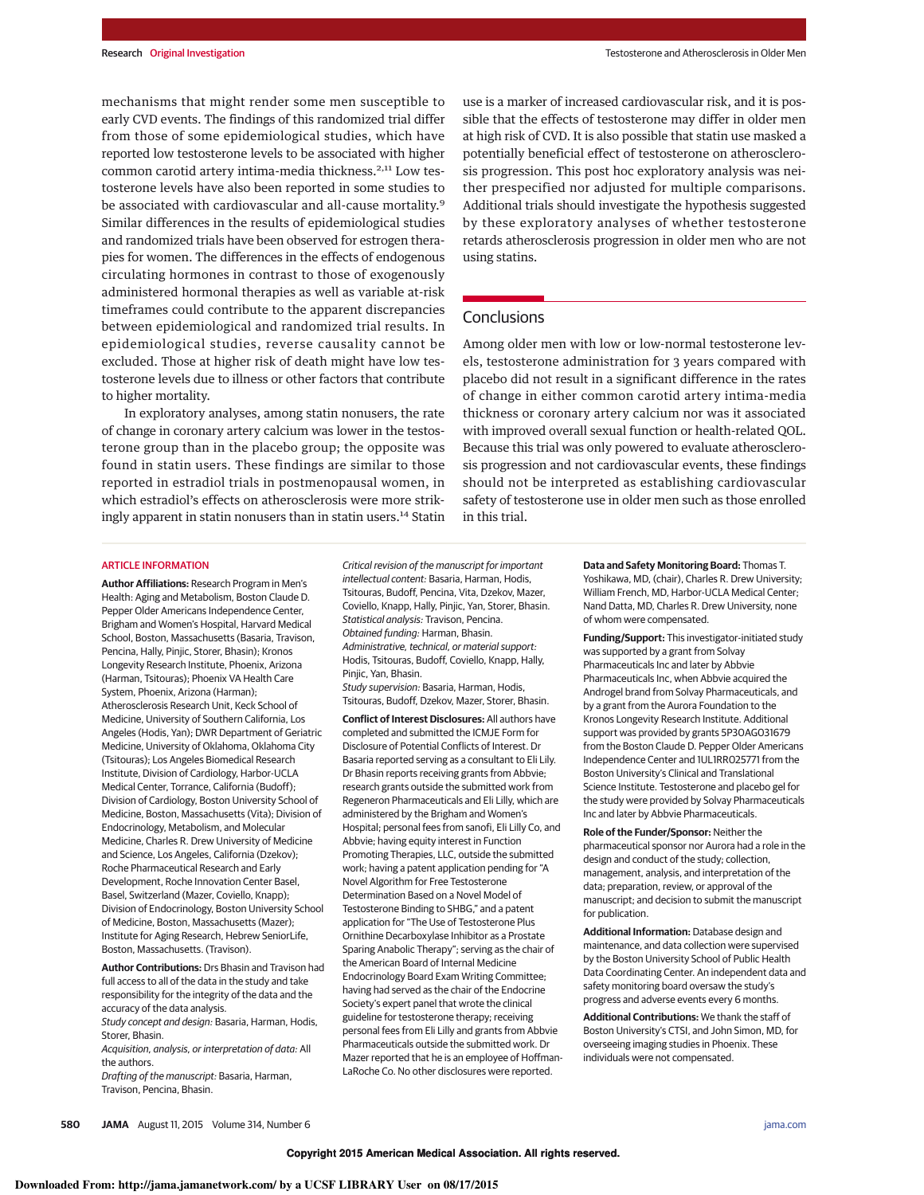mechanisms that might render some men susceptible to early CVD events. The findings of this randomized trial differ from those of some epidemiological studies, which have reported low testosterone levels to be associated with higher common carotid artery intima-media thickness.<sup>2,11</sup> Low testosterone levels have also been reported in some studies to be associated with cardiovascular and all-cause mortality.<sup>9</sup> Similar differences in the results of epidemiological studies and randomized trials have been observed for estrogen therapies for women. The differences in the effects of endogenous circulating hormones in contrast to those of exogenously administered hormonal therapies as well as variable at-risk timeframes could contribute to the apparent discrepancies between epidemiological and randomized trial results. In epidemiological studies, reverse causality cannot be excluded. Those at higher risk of death might have low testosterone levels due to illness or other factors that contribute to higher mortality.

In exploratory analyses, among statin nonusers, the rate of change in coronary artery calcium was lower in the testosterone group than in the placebo group; the opposite was found in statin users. These findings are similar to those reported in estradiol trials in postmenopausal women, in which estradiol's effects on atherosclerosis were more strikingly apparent in statin nonusers than in statin users.<sup>14</sup> Statin use is a marker of increased cardiovascular risk, and it is possible that the effects of testosterone may differ in older men at high risk of CVD. It is also possible that statin use masked a potentially beneficial effect of testosterone on atherosclerosis progression. This post hoc exploratory analysis was neither prespecified nor adjusted for multiple comparisons. Additional trials should investigate the hypothesis suggested by these exploratory analyses of whether testosterone retards atherosclerosis progression in older men who are not using statins.

## **Conclusions**

Among older men with low or low-normal testosterone levels, testosterone administration for 3 years compared with placebo did not result in a significant difference in the rates of change in either common carotid artery intima-media thickness or coronary artery calcium nor was it associated with improved overall sexual function or health-related QOL. Because this trial was only powered to evaluate atherosclerosis progression and not cardiovascular events, these findings should not be interpreted as establishing cardiovascular safety of testosterone use in older men such as those enrolled in this trial.

#### ARTICLE INFORMATION

**Author Affiliations:** Research Program in Men's Health: Aging and Metabolism, Boston Claude D. Pepper Older Americans Independence Center, Brigham and Women's Hospital, Harvard Medical School, Boston, Massachusetts (Basaria, Travison, Pencina, Hally, Pinjic, Storer, Bhasin); Kronos Longevity Research Institute, Phoenix, Arizona (Harman, Tsitouras); Phoenix VA Health Care System, Phoenix, Arizona (Harman); Atherosclerosis Research Unit, Keck School of Medicine, University of Southern California, Los Angeles (Hodis, Yan); DWR Department of Geriatric Medicine, University of Oklahoma, Oklahoma City (Tsitouras); Los Angeles Biomedical Research Institute, Division of Cardiology, Harbor-UCLA Medical Center, Torrance, California (Budoff); Division of Cardiology, Boston University School of Medicine, Boston, Massachusetts (Vita); Division of Endocrinology, Metabolism, and Molecular Medicine, Charles R. Drew University of Medicine and Science, Los Angeles, California (Dzekov); Roche Pharmaceutical Research and Early Development, Roche Innovation Center Basel, Basel, Switzerland (Mazer, Coviello, Knapp); Division of Endocrinology, Boston University School of Medicine, Boston, Massachusetts (Mazer); Institute for Aging Research, Hebrew SeniorLife, Boston, Massachusetts. (Travison).

**Author Contributions:** Drs Bhasin and Travison had full access to all of the data in the study and take responsibility for the integrity of the data and the accuracy of the data analysis.

Study concept and design: Basaria, Harman, Hodis, Storer, Bhasin.

Acquisition, analysis, or interpretation of data: All the authors. Drafting of the manuscript: Basaria, Harman,

Travison, Pencina, Bhasin.

Critical revision of the manuscript for important intellectual content: Basaria, Harman, Hodis Tsitouras, Budoff, Pencina, Vita, Dzekov, Mazer, Coviello, Knapp, Hally, Pinjic, Yan, Storer, Bhasin. Statistical analysis: Travison, Pencina. Obtained funding: Harman, Bhasin. Administrative, technical, or material support: Hodis, Tsitouras, Budoff, Coviello, Knapp, Hally, Pinjic, Yan, Bhasin.

Study supervision: Basaria, Harman, Hodis, Tsitouras, Budoff, Dzekov, Mazer, Storer, Bhasin.

**Conflict of Interest Disclosures:** All authors have completed and submitted the ICMJE Form for Disclosure of Potential Conflicts of Interest. Dr Basaria reported serving as a consultant to Eli Lily. Dr Bhasin reports receiving grants from Abbvie; research grants outside the submitted work from Regeneron Pharmaceuticals and Eli Lilly, which are administered by the Brigham and Women's Hospital; personal fees from sanofi, Eli Lilly Co, and Abbvie; having equity interest in Function Promoting Therapies, LLC, outside the submitted work; having a patent application pending for "A Novel Algorithm for Free Testosterone Determination Based on a Novel Model of Testosterone Binding to SHBG," and a patent application for "The Use of Testosterone Plus Ornithine Decarboxylase Inhibitor as a Prostate Sparing Anabolic Therapy"; serving as the chair of the American Board of Internal Medicine Endocrinology Board Exam Writing Committee; having had served as the chair of the Endocrine Society's expert panel that wrote the clinical guideline for testosterone therapy; receiving personal fees from Eli Lilly and grants from Abbvie Pharmaceuticals outside the submitted work. Dr Mazer reported that he is an employee of Hoffman-LaRoche Co. No other disclosures were reported.

**Data and Safety Monitoring Board:** Thomas T. Yoshikawa, MD, (chair), Charles R. Drew University; William French, MD, Harbor-UCLA Medical Center; Nand Datta, MD, Charles R. Drew University, none of whom were compensated.

**Funding/Support:** This investigator-initiated study was supported by a grant from Solvay Pharmaceuticals Inc and later by Abbvie Pharmaceuticals Inc, when Abbvie acquired the Androgel brand from Solvay Pharmaceuticals, and by a grant from the Aurora Foundation to the Kronos Longevity Research Institute. Additional support was provided by grants 5P30AG031679 from the Boston Claude D. Pepper Older Americans Independence Center and 1UL1RR025771 from the Boston University's Clinical and Translational Science Institute. Testosterone and placebo gel for the study were provided by Solvay Pharmaceuticals Inc and later by Abbvie Pharmaceuticals.

**Role of the Funder/Sponsor:** Neither the pharmaceutical sponsor nor Aurora had a role in the design and conduct of the study; collection, management, analysis, and interpretation of the data; preparation, review, or approval of the manuscript; and decision to submit the manuscript for publication.

**Additional Information:** Database design and maintenance, and data collection were supervised by the Boston University School of Public Health Data Coordinating Center. An independent data and safety monitoring board oversaw the study's progress and adverse events every 6 months.

**Additional Contributions:** We thank the staff of Boston University's CTSI, and John Simon, MD, for overseeing imaging studies in Phoenix. These individuals were not compensated.